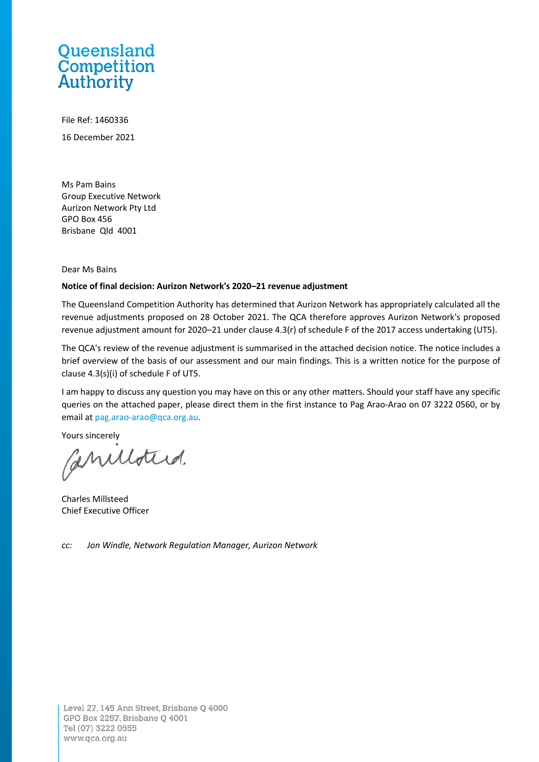# Queensland **Competition**<br>Authority

File Ref: 1460336 16 December 2021

Ms Pam Bains Group Executive Network Aurizon Network Pty Ltd GPO Box 456 Brisbane Qld 4001

Dear Ms Bains

#### **Notice of final decision: Aurizon Network's 2020–21 revenue adjustment**

The Queensland Competition Authority has determined that Aurizon Network has appropriately calculated all the revenue adjustments proposed on 28 October 2021. The QCA therefore approves Aurizon Network's proposed revenue adjustment amount for 2020–21 under clause 4.3(r) of schedule F of the 2017 access undertaking (UT5).

The QCA's review of the revenue adjustment is summarised in the attached decision notice. The notice includes a brief overview of the basis of our assessment and our main findings. This is a written notice for the purpose of clause 4.3(s)(i) of schedule F of UT5.

I am happy to discuss any question you may have on this or any other matters. Should your staff have any specific queries on the attached paper, please direct them in the first instance to Pag Arao-Arao on 07 3222 0560, or by email at [pag.arao-arao@qca.org.au.](mailto:pag.arao-arao@qca.org.au)

Yours sincerely

Caniloted.

Charles Millsteed Chief Executive Officer

*cc: Jon Windle, Network Regulation Manager, Aurizon Network*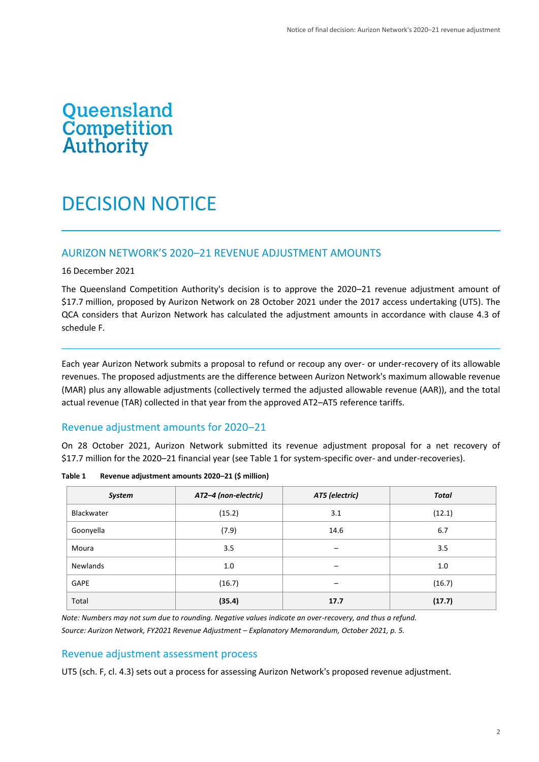# Queensland<br>Competition<br>Authority

# DECISION NOTICE

# AURIZON NETWORK'S 2020–21 REVENUE ADJUSTMENT AMOUNTS

16 December 2021

The Queensland Competition Authority's decision is to approve the 2020–21 revenue adjustment amount of \$17.7 million, proposed by Aurizon Network on 28 October 2021 under the 2017 access undertaking (UT5). The QCA considers that Aurizon Network has calculated the adjustment amounts in accordance with clause 4.3 of schedule F.

Each year Aurizon Network submits a proposal to refund or recoup any over- or under-recovery of its allowable revenues. The proposed adjustments are the difference between Aurizon Network's maximum allowable revenue (MAR) plus any allowable adjustments (collectively termed the adjusted allowable revenue (AAR)), and the total actual revenue (TAR) collected in that year from the approved AT2–AT5 reference tariffs.

## Revenue adjustment amounts for 2020–21

On 28 October 2021, Aurizon Network submitted its revenue adjustment proposal for a net recovery of \$17.7 million for the 2020–21 financial year (see Table 1 for system-specific over- and under-recoveries).

| System          | AT2-4 (non-electric) | AT5 (electric) | <b>Total</b> |  |
|-----------------|----------------------|----------------|--------------|--|
| Blackwater      | (15.2)               | 3.1            | (12.1)       |  |
| Goonyella       | (7.9)                | 14.6           | 6.7          |  |
| Moura           | 3.5                  | -              | 3.5          |  |
| <b>Newlands</b> | 1.0                  | -              | 1.0          |  |
| GAPE            | (16.7)               | —              | (16.7)       |  |
| Total           | (35.4)               | 17.7           | (17.7)       |  |

**Table 1 Revenue adjustment amounts 2020–21 (\$ million)**

*Note: Numbers may not sum due to rounding. Negative values indicate an over-recovery, and thus a refund. Source: Aurizon Network, FY2021 Revenue Adjustment – Explanatory Memorandum, October 2021, p. 5.*

# Revenue adjustment assessment process

UT5 (sch. F, cl. 4.3) sets out a process for assessing Aurizon Network's proposed revenue adjustment.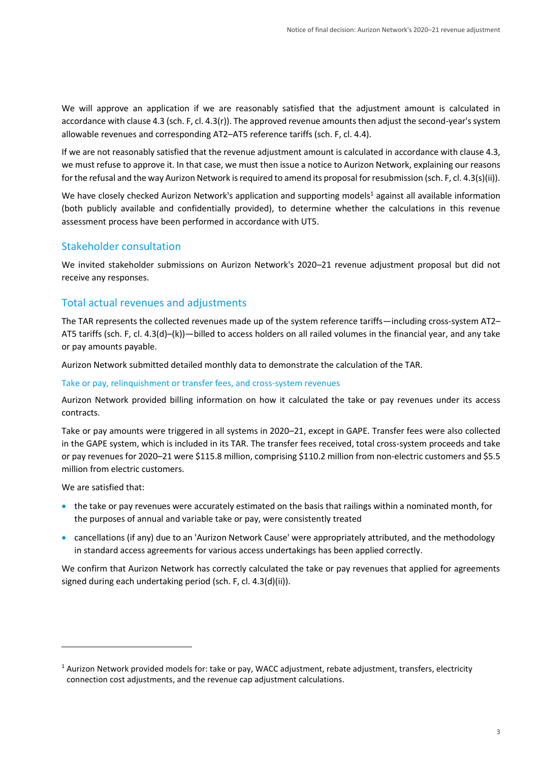We will approve an application if we are reasonably satisfied that the adjustment amount is calculated in accordance with clause 4.3 (sch. F, cl. 4.3(r)). The approved revenue amounts then adjust the second-year's system allowable revenues and corresponding AT2–AT5 reference tariffs (sch. F, cl. 4.4).

If we are not reasonably satisfied that the revenue adjustment amount is calculated in accordance with clause 4.3, we must refuse to approve it. In that case, we must then issue a notice to Aurizon Network, explaining our reasons for the refusal and the way Aurizon Network is required to amend its proposal for resubmission (sch. F, cl. 4.3(s)(ii)).

We have closely checked Aurizon Network's application and supporting models<sup>1</sup> against all available information (both publicly available and confidentially provided), to determine whether the calculations in this revenue assessment process have been performed in accordance with UT5.

# Stakeholder consultation

We invited stakeholder submissions on Aurizon Network's 2020–21 revenue adjustment proposal but did not receive any responses.

# Total actual revenues and adjustments

The TAR represents the collected revenues made up of the system reference tariffs—including cross-system AT2– AT5 tariffs (sch. F, cl. 4.3(d)–(k))—billed to access holders on all railed volumes in the financial year, and any take or pay amounts payable.

Aurizon Network submitted detailed monthly data to demonstrate the calculation of the TAR.

#### Take or pay, relinquishment or transfer fees, and cross-system revenues

Aurizon Network provided billing information on how it calculated the take or pay revenues under its access contracts.

Take or pay amounts were triggered in all systems in 2020–21, except in GAPE. Transfer fees were also collected in the GAPE system, which is included in its TAR. The transfer fees received, total cross-system proceeds and take or pay revenues for 2020–21 were \$115.8 million, comprising \$110.2 million from non-electric customers and \$5.5 million from electric customers.

We are satisfied that:

- the take or pay revenues were accurately estimated on the basis that railings within a nominated month, for the purposes of annual and variable take or pay, were consistently treated
- cancellations (if any) due to an 'Aurizon Network Cause' were appropriately attributed, and the methodology in standard access agreements for various access undertakings has been applied correctly.

We confirm that Aurizon Network has correctly calculated the take or pay revenues that applied for agreements signed during each undertaking period (sch. F, cl. 4.3(d)(ii)).

 $1$  Aurizon Network provided models for: take or pay, WACC adjustment, rebate adjustment, transfers, electricity connection cost adjustments, and the revenue cap adjustment calculations.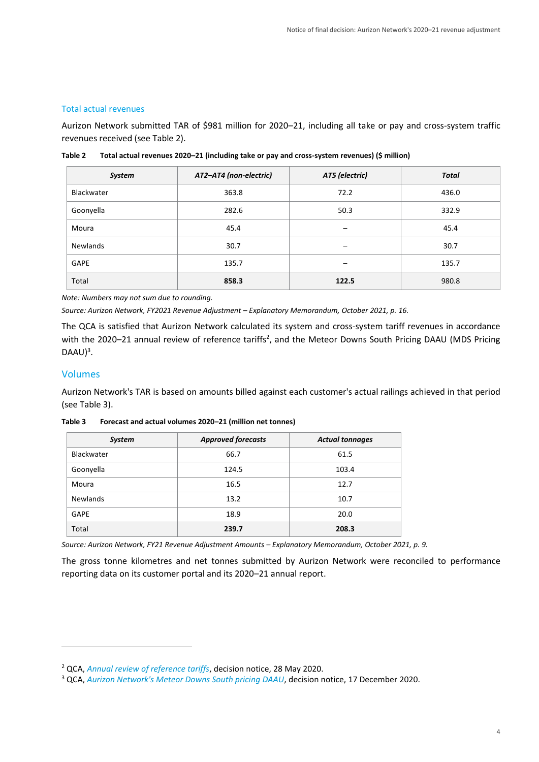#### Total actual revenues

Aurizon Network submitted TAR of \$981 million for 2020–21, including all take or pay and cross-system traffic revenues received (see Table 2).

| System     | AT2-AT4 (non-electric) | AT5 (electric)           | Total |  |
|------------|------------------------|--------------------------|-------|--|
| Blackwater | 72.2<br>363.8          |                          | 436.0 |  |
| Goonyella  | 282.6                  | 50.3                     | 332.9 |  |
| Moura      | 45.4                   | $\overline{\phantom{0}}$ | 45.4  |  |
| Newlands   | 30.7                   | -                        | 30.7  |  |
| GAPE       | 135.7                  | $\overline{\phantom{0}}$ | 135.7 |  |
| Total      | 858.3                  | 122.5                    | 980.8 |  |

**Table 2 Total actual revenues 2020–21 (including take or pay and cross-system revenues) (\$ million)**

*Note: Numbers may not sum due to rounding.*

*Source: Aurizon Network, FY2021 Revenue Adjustment – Explanatory Memorandum, October 2021, p. 16.*

The QCA is satisfied that Aurizon Network calculated its system and cross-system tariff revenues in accordance with the 2020–21 annual review of reference tariffs<sup>2</sup>, and the Meteor Downs South Pricing DAAU (MDS Pricing  $DAAU)^3$ .

#### Volumes

Aurizon Network's TAR is based on amounts billed against each customer's actual railings achieved in that period (see Table 3).

| Forecast and actual volumes 2020-21 (million net tonnes)<br>Table 3 |
|---------------------------------------------------------------------|
|---------------------------------------------------------------------|

| <b>System</b>   | <b>Approved forecasts</b> | <b>Actual tonnages</b> |  |  |
|-----------------|---------------------------|------------------------|--|--|
| Blackwater      | 66.7                      | 61.5                   |  |  |
| Goonyella       | 124.5                     | 103.4                  |  |  |
| Moura           | 16.5                      | 12.7                   |  |  |
| <b>Newlands</b> | 13.2                      | 10.7                   |  |  |
| <b>GAPE</b>     | 18.9                      | 20.0                   |  |  |
| Total           | 239.7                     | 208.3                  |  |  |

*Source: Aurizon Network, FY21 Revenue Adjustment Amounts – Explanatory Memorandum, October 2021, p. 9.*

The gross tonne kilometres and net tonnes submitted by Aurizon Network were reconciled to performance reporting data on its customer portal and its 2020–21 annual report.

<sup>2</sup> QCA, *[Annual review of reference tariffs](https://www.qca.org.au/wp-content/uploads/2020/03/qca-decision-notice.pdf)*, decision notice, 28 May 2020.

<sup>3</sup> QCA, *[Aurizon Network's Meteor Downs South pricing DAAU](https://www.qca.org.au/wp-content/uploads/2020/08/an-mds-pricing-daau-letter-and-decision-final.pdf)*, decision notice, 17 December 2020.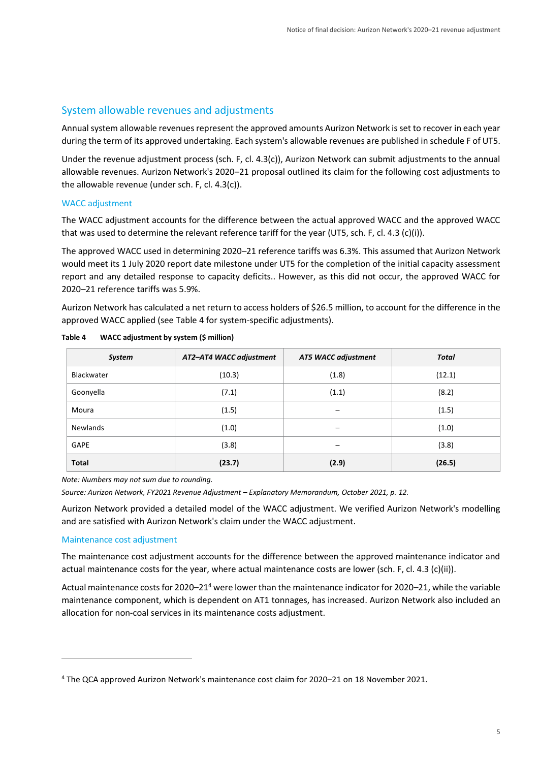# System allowable revenues and adjustments

Annual system allowable revenues represent the approved amounts Aurizon Network is set to recover in each year during the term of its approved undertaking. Each system's allowable revenues are published in schedule F of UT5.

Under the revenue adjustment process (sch. F, cl. 4.3(c)), Aurizon Network can submit adjustments to the annual allowable revenues. Aurizon Network's 2020–21 proposal outlined its claim for the following cost adjustments to the allowable revenue (under sch. F, cl. 4.3(c)).

## WACC adjustment

The WACC adjustment accounts for the difference between the actual approved WACC and the approved WACC that was used to determine the relevant reference tariff for the year (UT5, sch. F, cl. 4.3 (c)(i)).

The approved WACC used in determining 2020–21 reference tariffs was 6.3%. This assumed that Aurizon Network would meet its 1 July 2020 report date milestone under UT5 for the completion of the initial capacity assessment report and any detailed response to capacity deficits.. However, as this did not occur, the approved WACC for 2020–21 reference tariffs was 5.9%.

Aurizon Network has calculated a net return to access holders of \$26.5 million, to account for the difference in the approved WACC applied (see Table 4 for system-specific adjustments).

| System        | AT2-AT4 WACC adjustment | <b>AT5 WACC adjustment</b> | <b>Total</b> |  |
|---------------|-------------------------|----------------------------|--------------|--|
| Blackwater    | (10.3)                  | (1.8)                      | (12.1)       |  |
| Goonyella     | (7.1)                   | (1.1)                      | (8.2)        |  |
| Moura         | (1.5)                   |                            | (1.5)        |  |
| Newlands      | (1.0)                   |                            | (1.0)        |  |
| (3.8)<br>GAPE |                         |                            | (3.8)        |  |
| <b>Total</b>  | (23.7)                  | (2.9)                      | (26.5)       |  |

| Table 4 | WACC adjustment by system (\$ million) |
|---------|----------------------------------------|
|---------|----------------------------------------|

*Note: Numbers may not sum due to rounding.*

*Source: Aurizon Network, FY2021 Revenue Adjustment – Explanatory Memorandum, October 2021, p. 12.*

Aurizon Network provided a detailed model of the WACC adjustment. We verified Aurizon Network's modelling and are satisfied with Aurizon Network's claim under the WACC adjustment.

#### Maintenance cost adjustment

The maintenance cost adjustment accounts for the difference between the approved maintenance indicator and actual maintenance costs for the year, where actual maintenance costs are lower (sch. F, cl. 4.3 (c)(ii)).

Actual maintenance costs for 2020–21<sup>4</sup> were lower than the maintenance indicator for 2020–21, while the variable maintenance component, which is dependent on AT1 tonnages, has increased. Aurizon Network also included an allocation for non-coal services in its maintenance costs adjustment.

<sup>4</sup> The QCA approved Aurizon Network's maintenance cost claim for 2020–21 on 18 November 2021.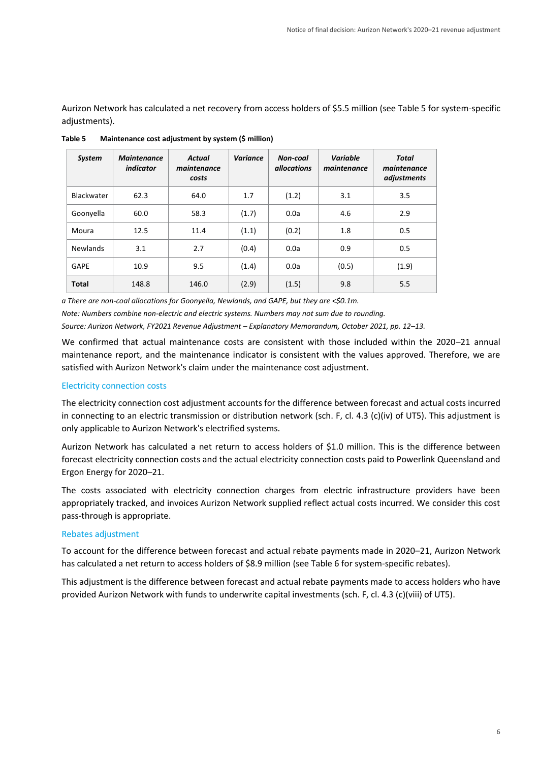Aurizon Network has calculated a net recovery from access holders of \$5.5 million (see Table 5 for system-specific adjustments).

| <b>System</b>   | <b>Maintenance</b><br>indicator | <b>Actual</b><br>maintenance<br>costs | <b>Variance</b> | Non-coal<br><i>allocations</i> | Variable<br>maintenance | Total<br>maintenance<br>adjustments |
|-----------------|---------------------------------|---------------------------------------|-----------------|--------------------------------|-------------------------|-------------------------------------|
| Blackwater      | 62.3                            | 64.0                                  | 1.7             | (1.2)                          | 3.1                     | 3.5                                 |
| Goonyella       | 60.0                            | 58.3                                  | (1.7)           | 0.0a                           | 4.6                     | 2.9                                 |
| Moura           | 12.5                            | 11.4                                  | (1.1)           | (0.2)                          | 1.8                     | 0.5                                 |
| <b>Newlands</b> | 3.1                             | 2.7                                   | (0.4)           | 0.0a                           | 0.9                     | 0.5                                 |
| GAPE            | 10.9                            | 9.5                                   | (1.4)           | 0.0a                           | (0.5)                   | (1.9)                               |
| <b>Total</b>    | 148.8                           | 146.0                                 | (2.9)           | (1.5)                          | 9.8                     | 5.5                                 |

**Table 5 Maintenance cost adjustment by system (\$ million)**

*a There are non-coal allocations for Goonyella, Newlands, and GAPE, but they are <\$0.1m. Note: Numbers combine non-electric and electric systems. Numbers may not sum due to rounding. Source: Aurizon Network, FY2021 Revenue Adjustment – Explanatory Memorandum, October 2021, pp. 12–13.*

We confirmed that actual maintenance costs are consistent with those included within the 2020–21 annual maintenance report, and the maintenance indicator is consistent with the values approved. Therefore, we are satisfied with Aurizon Network's claim under the maintenance cost adjustment.

#### Electricity connection costs

The electricity connection cost adjustment accounts for the difference between forecast and actual costs incurred in connecting to an electric transmission or distribution network (sch. F, cl. 4.3 (c)(iv) of UT5). This adjustment is only applicable to Aurizon Network's electrified systems.

Aurizon Network has calculated a net return to access holders of \$1.0 million. This is the difference between forecast electricity connection costs and the actual electricity connection costs paid to Powerlink Queensland and Ergon Energy for 2020–21.

The costs associated with electricity connection charges from electric infrastructure providers have been appropriately tracked, and invoices Aurizon Network supplied reflect actual costs incurred. We consider this cost pass-through is appropriate.

#### Rebates adjustment

To account for the difference between forecast and actual rebate payments made in 2020–21, Aurizon Network has calculated a net return to access holders of \$8.9 million (see Table 6 for system-specific rebates).

This adjustment is the difference between forecast and actual rebate payments made to access holders who have provided Aurizon Network with funds to underwrite capital investments (sch. F, cl. 4.3 (c)(viii) of UT5).